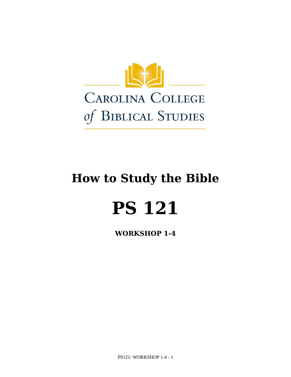

# **How to Study the Bible**

# **PS 121**

**WORKSHOP 1-4**

PS121: WORKSHOP 1-4 - 1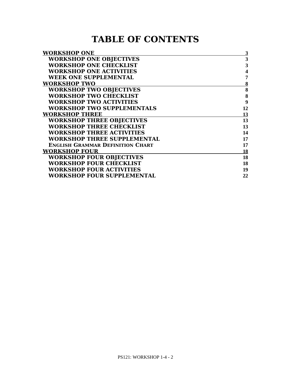# **TABLE OF CONTENTS**

| <b>WORKSHOP ONE</b>                     | $\overline{\mathbf{3}}$ |
|-----------------------------------------|-------------------------|
| <b>WORKSHOP ONE OBJECTIVES</b>          | 3                       |
| <b>WORKSHOP ONE CHECKLIST</b>           | 3                       |
| <b>WORKSHOP ONE ACTIVITIES</b>          | $\boldsymbol{4}$        |
| <b>WEEK ONE SUPPLEMENTAL</b>            | 7                       |
| <b>WORKSHOP TWO</b>                     | 8                       |
| <b>WORKSHOP TWO OBJECTIVES</b>          | 8                       |
| <b>WORKSHOP TWO CHECKLIST</b>           | $\bf{8}$                |
| <b>WORKSHOP TWO ACTIVITIES</b>          | 9                       |
| <b>WORKSHOP TWO SUPPLEMENTALS</b>       | 12                      |
| <b>WORKSHOP THREE</b>                   | 13                      |
| <b>WORKSHOP THREE OBJECTIVES</b>        | 13                      |
| <b>WORKSHOP THREE CHECKLIST</b>         | 13                      |
| <b>WORKSHOP THREE ACTIVITIES</b>        | 14                      |
| <b>WORKSHOP THREE SUPPLEMENTAL</b>      | 17                      |
| <b>ENGLISH GRAMMAR DEFINITION CHART</b> | 17                      |
| <b>WORKSHOP FOUR</b>                    | 18                      |
| <b>WORKSHOP FOUR OBJECTIVES</b>         | 18                      |
| <b>WORKSHOP FOUR CHECKLIST</b>          | 18                      |
| <b>WORKSHOP FOUR ACTIVITIES</b>         | 19                      |
| WORKSHOP FOUR SUPPLEMENTAL              | 22                      |
|                                         |                         |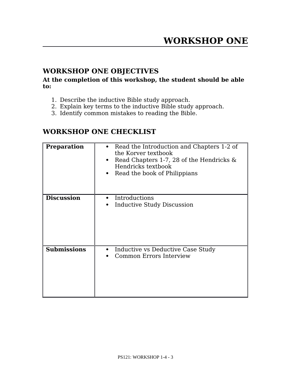# **WORKSHOP ONE OBJECTIVES**

#### **At the completion of this workshop, the student should be able to:**

- 1. Describe the inductive Bible study approach.
- 2. Explain key terms to the inductive Bible study approach.
- 3. Identify common mistakes to reading the Bible.

# **WORKSHOP ONE CHECKLIST**

| <b>Preparation</b> | Read the Introduction and Chapters 1-2 of<br>the Korver textbook<br>Read Chapters 1-7, 28 of the Hendricks $\&$<br>$\bullet$<br>Hendricks textbook<br>Read the book of Philippians |
|--------------------|------------------------------------------------------------------------------------------------------------------------------------------------------------------------------------|
| <b>Discussion</b>  | Introductions<br>$\bullet$<br><b>Inductive Study Discussion</b>                                                                                                                    |
| <b>Submissions</b> | Inductive vs Deductive Case Study<br><b>Common Errors Interview</b>                                                                                                                |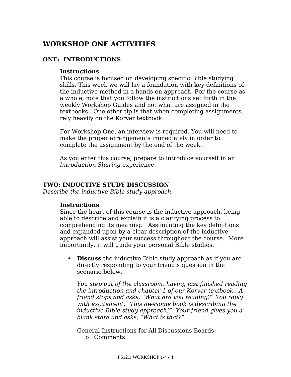# **WORKSHOP ONE ACTIVITIES**

#### **ONE: INTRODUCTIONS**

#### **Instructions**

This course is focused on developing specifc Bible studying skills. This week we will lay a foundation with key defnitions of the inductive method in a hands-on approach. For the course as a whole, note that you follow the instructions set forth in the weekly Workshop Guides and not what are assigned in the textbooks. One other tip is that when completing assignments, rely heavily on the Korver textbook.

For Workshop One, an interview is required. You will need to make the proper arrangements immediately in order to complete the assignment by the end of the week.

As you enter this course, prepare to introduce yourself in an *Introduction Sharing* experience.

#### **TWO: INDUCTIVE STUDY DISCUSSION**

*Describe the inductive Bible study approach.*

#### **Instructions**

Since the heart of this course is the inductive approach, being able to describe and explain it is a clarifying process to comprehending its meaning. Assimilating the key defnitions and expanded upon by a clear description of the inductive approach will assist your success throughout the course. More importantly, it will guide your personal Bible studies.

 **Discuss** the inductive Bible study approach as if you are directly responding to your friend's question in the scenario below.

*You step out of the classroom, having just fnished reading the introduction and chapter 1 of our Korver textbook. A friend stops and asks, "What are you reading?" You reply with excitement, "This awesome book is describing the inductive Bible study approach!" Your friend gives you a blank stare and asks, "What is that?"*

General Instructions for All Discussions Boards: o Comments: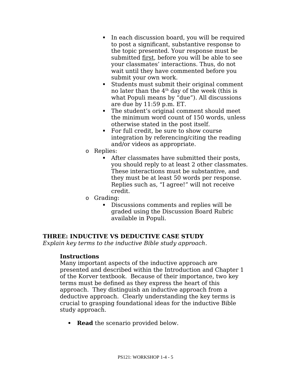- In each discussion board, you will be required to post a signifcant, substantive response to the topic presented. Your response must be submitted frst, before you will be able to see your classmates' interactions. Thus, do not wait until they have commented before you submit your own work.
- Students must submit their original comment no later than the  $4<sup>th</sup>$  day of the week (this is what Populi means by "due"). All discussions are due by 11:59 p.m. ET.
- The student's original comment should meet the minimum word count of 150 words, unless otherwise stated in the post itself.
- For full credit, be sure to show course integration by referencing/citing the reading and/or videos as appropriate.
- o Replies:
	- After classmates have submitted their posts, you should reply to at least 2 other classmates. These interactions must be substantive, and they must be at least 50 words per response. Replies such as, "I agree!" will not receive credit.
- o Grading:
	- Discussions comments and replies will be graded using the Discussion Board Rubric available in Populi.

## **THREE: INDUCTIVE VS DEDUCTIVE CASE STUDY**

*Explain key terms to the inductive Bible study approach.*

#### **Instructions**

Many important aspects of the inductive approach are presented and described within the Introduction and Chapter 1 of the Korver textbook. Because of their importance, two key terms must be defned as they express the heart of this approach. They distinguish an inductive approach from a deductive approach. Clearly understanding the key terms is crucial to grasping foundational ideas for the inductive Bible study approach.

• **Read** the scenario provided below.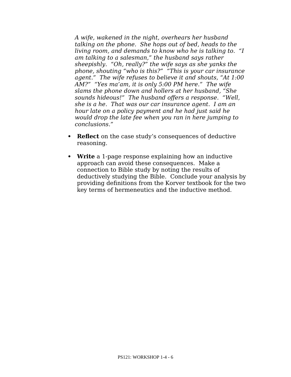*A wife, wakened in the night, overhears her husband talking on the phone. She hops out of bed, heads to the living room, and demands to know who he is talking to. "I am talking to a salesman," the husband says rather sheepishly. "Oh, really?" the wife says as she yanks the phone, shouting "who is this?" "This is your car insurance agent." The wife refuses to believe it and shouts, "At 1:00 AM?" "Yes ma'am, it is only 5:00 PM here." The wife slams the phone down and hollers at her husband, "She sounds hideous!" The husband ofers a response. "Well, she is a he. That was our car insurance agent. I am an hour late on a policy payment and he had just said he would drop the late fee when you ran in here jumping to conclusions."*

- **Reflect** on the case study's consequences of deductive reasoning.
- **Write** a 1-page response explaining how an inductive approach can avoid these consequences. Make a connection to Bible study by noting the results of deductively studying the Bible. Conclude your analysis by providing defnitions from the Korver textbook for the two key terms of hermeneutics and the inductive method.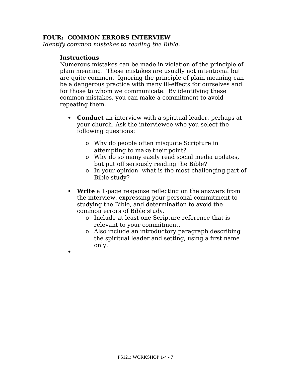#### **FOUR: COMMON ERRORS INTERVIEW**

*Identify common mistakes to reading the Bible.*

#### **Instructions**

 $\bullet$ 

Numerous mistakes can be made in violation of the principle of plain meaning. These mistakes are usually not intentional but are quite common. Ignoring the principle of plain meaning can be a dangerous practice with many ill-efects for ourselves and for those to whom we communicate. By identifying these common mistakes, you can make a commitment to avoid repeating them.

- **Conduct** an interview with a spiritual leader, perhaps at your church. Ask the interviewee who you select the following questions:
	- o Why do people often misquote Scripture in attempting to make their point?
	- o Why do so many easily read social media updates, but put off seriously reading the Bible?
	- o In your opinion, what is the most challenging part of Bible study?
- **Write** a 1-page response refecting on the answers from the interview, expressing your personal commitment to studying the Bible, and determination to avoid the common errors of Bible study.
	- o Include at least one Scripture reference that is relevant to your commitment.
	- o Also include an introductory paragraph describing the spiritual leader and setting, using a frst name only.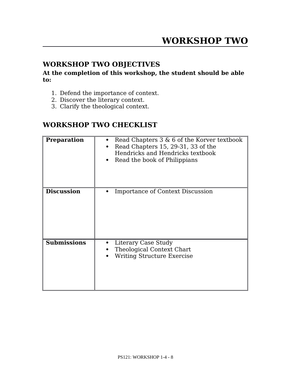# **WORKSHOP TWO OBJECTIVES**

#### **At the completion of this workshop, the student should be able to:**

- 1. Defend the importance of context.
- 2. Discover the literary context.
- 3. Clarify the theological context.

# **WORKSHOP TWO CHECKLIST**

| <b>Preparation</b> | Read Chapters $3 \& 6$ of the Korver textbook<br>Read Chapters 15, 29-31, 33 of the<br>Hendricks and Hendricks textbook<br>Read the book of Philippians |
|--------------------|---------------------------------------------------------------------------------------------------------------------------------------------------------|
| <b>Discussion</b>  | <b>Importance of Context Discussion</b>                                                                                                                 |
| <b>Submissions</b> | Literary Case Study<br>$\bullet$<br>Theological Context Chart<br><b>Writing Structure Exercise</b>                                                      |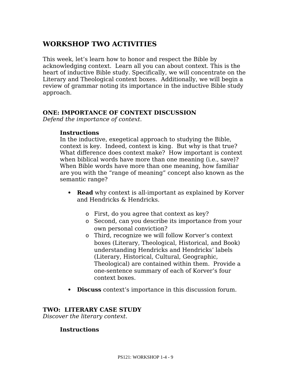# **WORKSHOP TWO ACTIVITIES**

This week, let's learn how to honor and respect the Bible by acknowledging context. Learn all you can about context. This is the heart of inductive Bible study. Specifcally, we will concentrate on the Literary and Theological context boxes. Additionally, we will begin a review of grammar noting its importance in the inductive Bible study approach.

#### **ONE: IMPORTANCE OF CONTEXT DISCUSSION**

*Defend the importance of context.*

#### **Instructions**

In the inductive, exegetical approach to studying the Bible, context is key. Indeed, context is king. But why is that true? What diference does context make? How important is context when biblical words have more than one meaning (i.e., save)? When Bible words have more than one meaning, how familiar are you with the "range of meaning" concept also known as the semantic range?

- **Read** why context is all-important as explained by Korver and Hendricks & Hendricks.
	- o First, do you agree that context as key?
	- o Second, can you describe its importance from your own personal conviction?
	- o Third, recognize we will follow Korver's context boxes (Literary, Theological, Historical, and Book) understanding Hendricks and Hendricks' labels (Literary, Historical, Cultural, Geographic, Theological) are contained within them. Provide a one-sentence summary of each of Korver's four context boxes.
- **Discuss** context's importance in this discussion forum.

#### **TWO: LITERARY CASE STUDY**

*Discover the literary context.*

#### **Instructions**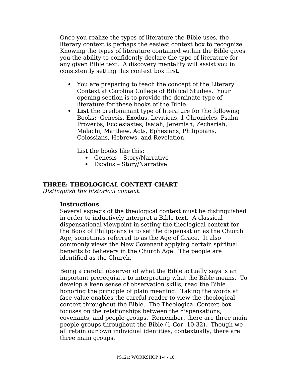Once you realize the types of literature the Bible uses, the literary context is perhaps the easiest context box to recognize. Knowing the types of literature contained within the Bible gives you the ability to confdently declare the type of literature for any given Bible text. A discovery mentality will assist you in consistently setting this context box frst.

- You are preparing to teach the concept of the Literary Context at Carolina College of Biblical Studies. Your opening section is to provide the dominate type of literature for these books of the Bible.
- **List** the predominant type of literature for the following Books: Genesis, Exodus, Leviticus, 1 Chronicles, Psalm, Proverbs, Ecclesiastes, Isaiah, Jeremiah, Zechariah, Malachi, Matthew, Acts, Ephesians, Philippians, Colossians, Hebrews, and Revelation.

List the books like this:

- Genesis Story/Narrative
- Exodus Story/Narrative

#### **THREE: THEOLOGICAL CONTEXT CHART**

*Distinguish the historical context.*

#### **Instructions**

Several aspects of the theological context must be distinguished in order to inductively interpret a Bible text. A classical dispensational viewpoint in setting the theological context for the Book of Philippians is to set the dispensation as the Church Age, sometimes referred to as the Age of Grace. It also commonly views the New Covenant applying certain spiritual benefts to believers in the Church Age. The people are identifed as the Church.

Being a careful observer of what the Bible actually says is an important prerequisite to interpreting what the Bible means. To develop a keen sense of observation skills, read the Bible honoring the principle of plain meaning. Taking the words at face value enables the careful reader to view the theological context throughout the Bible. The Theological Context box focuses on the relationships between the dispensations, covenants, and people groups. Remember, there are three main people groups throughout the Bible (1 Cor. 10:32). Though we all retain our own individual identities, contextually, there are three main groups.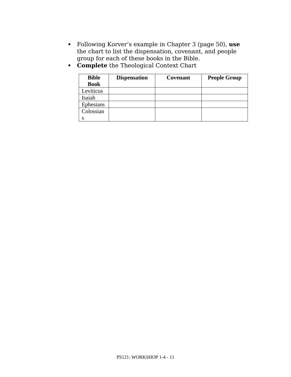- Following Korver's example in Chapter 3 (page 50), **use** the chart to list the dispensation, covenant, and people group for each of these books in the Bible.
- **Complete** the Theological Context Chart

| <b>Bible</b> | <b>Dispensation</b> | Covenant | <b>People Group</b> |
|--------------|---------------------|----------|---------------------|
| <b>Book</b>  |                     |          |                     |
| Leviticus    |                     |          |                     |
| Isaiah       |                     |          |                     |
| Ephesians    |                     |          |                     |
| Colossian    |                     |          |                     |
|              |                     |          |                     |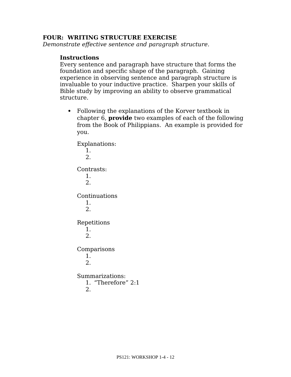#### **FOUR: WRITING STRUCTURE EXERCISE**

*Demonstrate efective sentence and paragraph structure.*

#### **Instructions**

Every sentence and paragraph have structure that forms the foundation and specifc shape of the paragraph. Gaining experience in observing sentence and paragraph structure is invaluable to your inductive practice. Sharpen your skills of Bible study by improving an ability to observe grammatical structure.

 Following the explanations of the Korver textbook in chapter 6, **provide** two examples of each of the following from the Book of Philippians. An example is provided for you.

Explanations: 1. 2. Contrasts: 1. 2. Continuations 1. 2. Repetitions 1. 2. Comparisons 1. 2. Summarizations: 1. "Therefore" 2:1 2.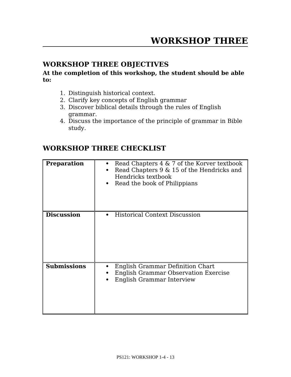# **WORKSHOP THREE OBJECTIVES**

**At the completion of this workshop, the student should be able to:**

- 1. Distinguish historical context.
- 2. Clarify key concepts of English grammar
- 3. Discover biblical details through the rules of English grammar.
- 4. Discuss the importance of the principle of grammar in Bible study.

# **WORKSHOP THREE CHECKLIST**

| <b>Preparation</b> | Read Chapters $4 \& 7$ of the Korver textbook<br>Read Chapters 9 & 15 of the Hendricks and<br>Hendricks textbook<br>Read the book of Philippians |
|--------------------|--------------------------------------------------------------------------------------------------------------------------------------------------|
| <b>Discussion</b>  | <b>Historical Context Discussion</b>                                                                                                             |
| <b>Submissions</b> | English Grammar Definition Chart<br><b>English Grammar Observation Exercise</b><br><b>English Grammar Interview</b>                              |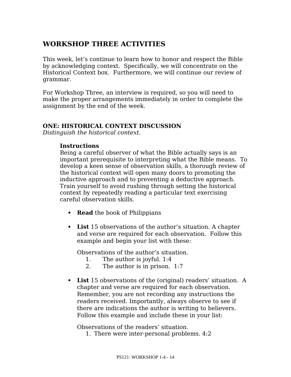# **WORKSHOP THREE ACTIVITIES**

This week, let's continue to learn how to honor and respect the Bible by acknowledging context. Specifcally, we will concentrate on the Historical Context box. Furthermore, we will continue our review of grammar.

For Workshop Three, an interview is required, so you will need to make the proper arrangements immediately in order to complete the assignment by the end of the week.

#### **ONE: HISTORICAL CONTEXT DISCUSSION**

*Distinguish the historical context.*

#### **Instructions**

Being a careful observer of what the Bible actually says is an important prerequisite to interpreting what the Bible means. To develop a keen sense of observation skills, a thorough review of the historical context will open many doors to promoting the inductive approach and to preventing a deductive approach. Train yourself to avoid rushing through setting the historical context by repeatedly reading a particular text exercising careful observation skills.

- **Read** the book of Philippians
- **List** 15 observations of the author's situation. A chapter and verse are required for each observation. Follow this example and begin your list with these:

Observations of the author's situation.

- 1. The author is joyful. 1:4
- 2. The author is in prison. 1:7
- **List** 15 observations of the (original) readers' situation. A chapter and verse are required for each observation. Remember, you are not recording any instructions the readers received. Importantly, always observe to see if there are indications the author is writing to believers. Follow this example and include these in your list:

Observations of the readers' situation.

1. There were inter-personal problems. 4:2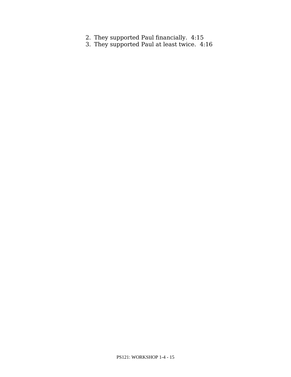- 2. They supported Paul fnancially. 4:15
- 3. They supported Paul at least twice. 4:16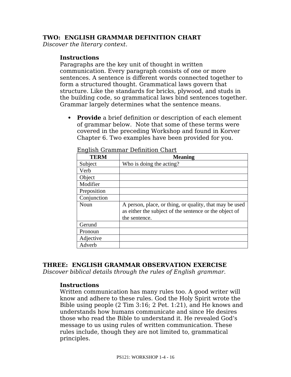#### **TWO: ENGLISH GRAMMAR DEFINITION CHART**

*Discover the literary context.*

#### **Instructions**

Paragraphs are the key unit of thought in written communication. Every paragraph consists of one or more sentences. A sentence is diferent words connected together to form a structured thought. Grammatical laws govern that structure. Like the standards for bricks, plywood, and studs in the building code, so grammatical laws bind sentences together. Grammar largely determines what the sentence means.

 **Provide** a brief defnition or description of each element of grammar below. Note that some of these terms were covered in the preceding Workshop and found in Korver Chapter 6. Two examples have been provided for you.

| <b>TERM</b> | <b>Meaning</b>                                                                                                    |
|-------------|-------------------------------------------------------------------------------------------------------------------|
| Subject     | Who is doing the acting?                                                                                          |
| Verb        |                                                                                                                   |
| Object      |                                                                                                                   |
| Modifier    |                                                                                                                   |
| Preposition |                                                                                                                   |
| Conjunction |                                                                                                                   |
| Noun        | A person, place, or thing, or quality, that may be used<br>as either the subject of the sentence or the object of |
|             | the sentence.                                                                                                     |
| Gerund      |                                                                                                                   |
| Pronoun     |                                                                                                                   |
| Adjective   |                                                                                                                   |
| Adverb      |                                                                                                                   |

English Grammar Defnition Chart

#### **THREE: ENGLISH GRAMMAR OBSERVATION EXERCISE**

*Discover biblical details through the rules of English grammar.*

#### **Instructions**

Written communication has many rules too. A good writer will know and adhere to these rules. God the Holy Spirit wrote the Bible using people (2 Tim 3:16; 2 Pet. 1:21), and He knows and understands how humans communicate and since He desires those who read the Bible to understand it. He revealed God's message to us using rules of written communication. These rules include, though they are not limited to, grammatical principles.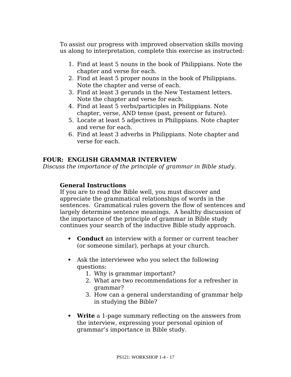To assist our progress with improved observation skills moving us along to interpretation, complete this exercise as instructed:

- 1. Find at least 5 nouns in the book of Philippians. Note the chapter and verse for each.
- 2. Find at least 5 proper nouns in the book of Philippians. Note the chapter and verse of each.
- 3. Find at least 3 gerunds in the New Testament letters. Note the chapter and verse for each.
- 4. Find at least 5 verbs/participles in Philippians. Note chapter, verse, AND tense (past, present or future).
- 5. Locate at least 5 adjectives in Philippians. Note chapter and verse for each.
- 6. Find at least 3 adverbs in Philippians. Note chapter and verse for each.

#### **FOUR: ENGLISH GRAMMAR INTERVIEW**

*Discuss the importance of the principle of grammar in Bible study.*

#### **General Instructions**

If you are to read the Bible well, you must discover and appreciate the grammatical relationships of words in the sentences. Grammatical rules govern the flow of sentences and largely determine sentence meanings. A healthy discussion of the importance of the principle of grammar in Bible study continues your search of the inductive Bible study approach.

- **Conduct** an interview with a former or current teacher (or someone similar), perhaps at your church.
- Ask the interviewee who you select the following questions:
	- 1. Why is grammar important?
	- 2. What are two recommendations for a refresher in grammar?
	- 3. How can a general understanding of grammar help in studying the Bible?
- **Write** a 1-page summary refecting on the answers from the interview, expressing your personal opinion of grammar's importance in Bible study.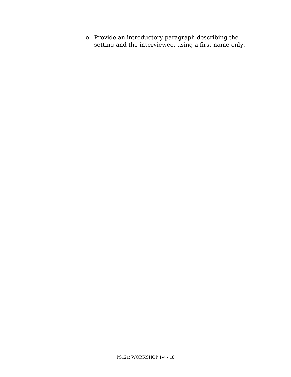o Provide an introductory paragraph describing the setting and the interviewee, using a frst name only.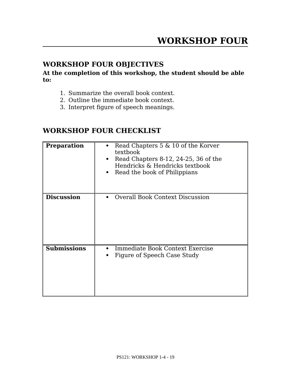# **WORKSHOP FOUR OBJECTIVES**

**At the completion of this workshop, the student should be able to:**

- 1. Summarize the overall book context.
- 2. Outline the immediate book context.
- 3. Interpret fgure of speech meanings.

### **WORKSHOP FOUR CHECKLIST**

| <b>Preparation</b> | Read Chapters 5 & 10 of the Korver<br>textbook<br>Read Chapters 8-12, 24-25, 36 of the<br>Hendricks & Hendricks textbook<br>Read the book of Philippians |
|--------------------|----------------------------------------------------------------------------------------------------------------------------------------------------------|
| <b>Discussion</b>  | <b>Overall Book Context Discussion</b>                                                                                                                   |
| <b>Submissions</b> | Immediate Book Context Exercise<br>Figure of Speech Case Study                                                                                           |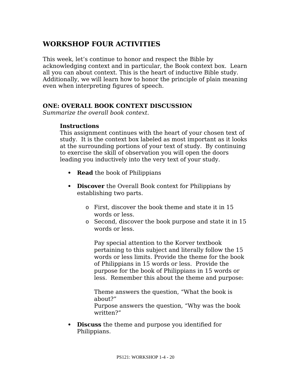# **WORKSHOP FOUR ACTIVITIES**

This week, let's continue to honor and respect the Bible by acknowledging context and in particular, the Book context box. Learn all you can about context. This is the heart of inductive Bible study. Additionally, we will learn how to honor the principle of plain meaning even when interpreting fgures of speech.

#### **ONE: OVERALL BOOK CONTEXT DISCUSSION**

*Summarize the overall book context.*

#### **Instructions**

This assignment continues with the heart of your chosen text of study. It is the context box labeled as most important as it looks at the surrounding portions of your text of study. By continuing to exercise the skill of observation you will open the doors leading you inductively into the very text of your study.

- **Read** the book of Philippians
- **Discover** the Overall Book context for Philippians by establishing two parts.
	- o First, discover the book theme and state it in 15 words or less.
	- o Second, discover the book purpose and state it in 15 words or less.

Pay special attention to the Korver textbook pertaining to this subject and literally follow the 15 words or less limits. Provide the theme for the book of Philippians in 15 words or less. Provide the purpose for the book of Philippians in 15 words or less. Remember this about the theme and purpose:

Theme answers the question, "What the book is about?" Purpose answers the question, "Why was the book written?"

 **Discuss** the theme and purpose you identifed for Philippians.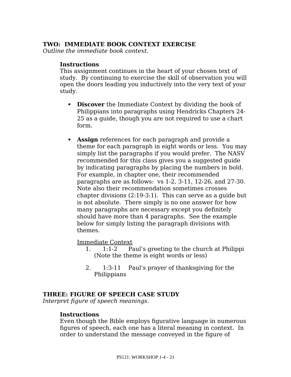#### **TWO: IMMEDIATE BOOK CONTEXT EXERCISE**

*Outline the immediate book context.*

#### **Instructions**

This assignment continues in the heart of your chosen text of study. By continuing to exercise the skill of observation you will open the doors leading you inductively into the very text of your study.

- **Discover** the Immediate Context by dividing the book of Philippians into paragraphs using Hendricks Chapters 24- 25 as a guide, though you are not required to use a chart form.
- **Assign** references for each paragraph and provide a theme for each paragraph in eight words or less. You may simply list the paragraphs if you would prefer. The NASV recommended for this class gives you a suggested guide by indicating paragraphs by placing the numbers in bold. For example, in chapter one, their recommended paragraphs are as follows: vs 1-2, 3-11, 12-26, and 27-30. Note also their recommendation sometimes crosses chapter divisions (2:19-3:1). This can serve as a guide but is not absolute. There simply is no one answer for how many paragraphs are necessary except you defnitely should have more than 4 paragraphs. See the example below for simply listing the paragraph divisions with themes.

Immediate Context

- 1. 1:1-2 Paul's greeting to the church at Philippi (Note the theme is eight words or less)
- 2. 1:3-11 Paul's prayer of thanksgiving for the Philippians

#### **THREE: FIGURE OF SPEECH CASE STUDY**

*Interpret fgure of speech meanings.*

#### **Instructions**

Even though the Bible employs fgurative language in numerous fgures of speech, each one has a literal meaning in context. In order to understand the message conveyed in the fgure of